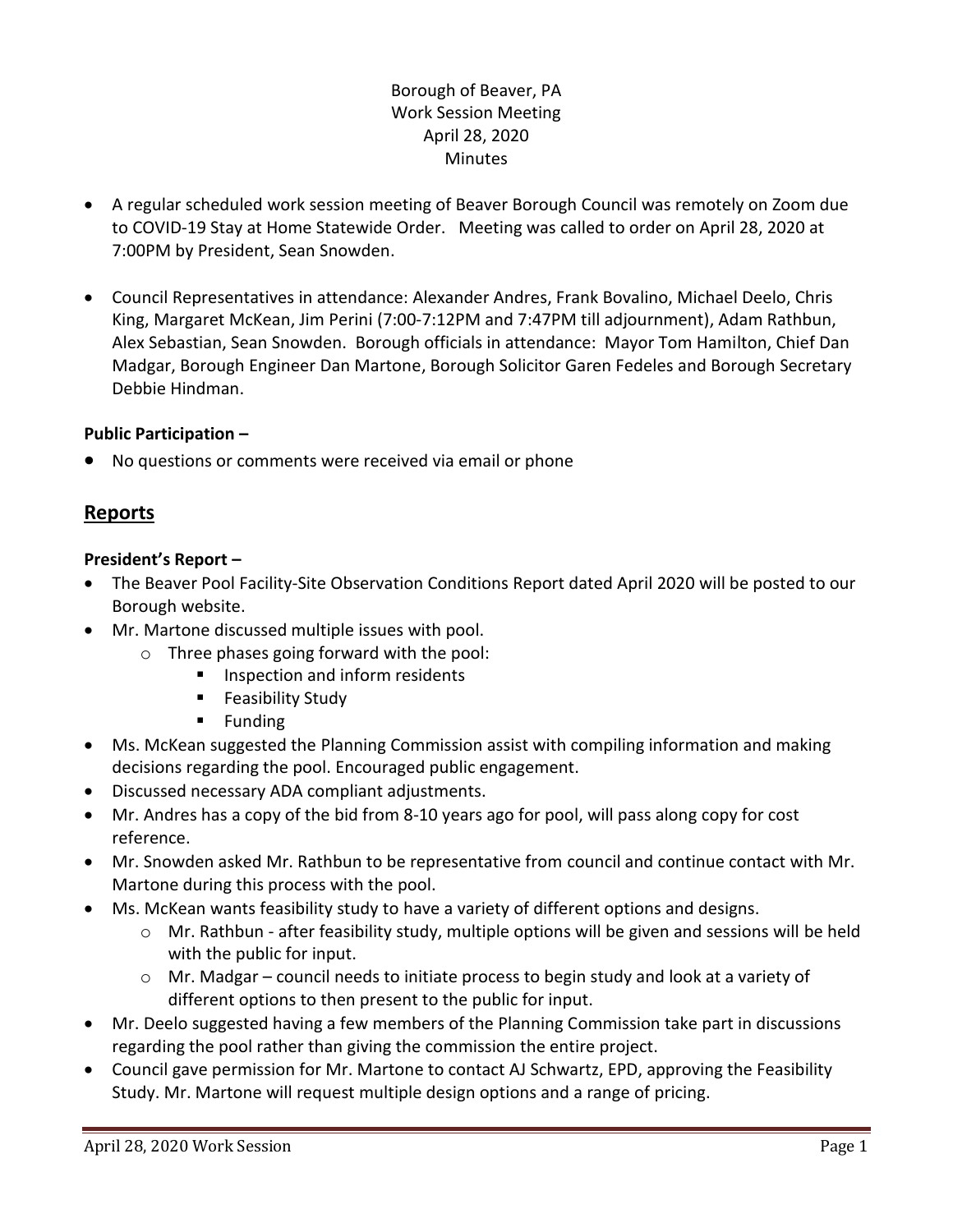## Borough of Beaver, PA Work Session Meeting April 28, 2020 **Minutes**

- A regular scheduled work session meeting of Beaver Borough Council was remotely on Zoom due to COVID-19 Stay at Home Statewide Order. Meeting was called to order on April 28, 2020 at 7:00PM by President, Sean Snowden.
- Council Representatives in attendance: Alexander Andres, Frank Bovalino, Michael Deelo, Chris King, Margaret McKean, Jim Perini (7:00-7:12PM and 7:47PM till adjournment), Adam Rathbun, Alex Sebastian, Sean Snowden. Borough officials in attendance: Mayor Tom Hamilton, Chief Dan Madgar, Borough Engineer Dan Martone, Borough Solicitor Garen Fedeles and Borough Secretary Debbie Hindman.

## **Public Participation –**

No questions or comments were received via email or phone

# **Reports**

## **President's Report –**

- The Beaver Pool Facility-Site Observation Conditions Report dated April 2020 will be posted to our Borough website.
- Mr. Martone discussed multiple issues with pool.
	- o Three phases going forward with the pool:
		- **Inspection and inform residents**
		- **Feasibility Study**
		- **Funding**
- Ms. McKean suggested the Planning Commission assist with compiling information and making decisions regarding the pool. Encouraged public engagement.
- Discussed necessary ADA compliant adjustments.
- Mr. Andres has a copy of the bid from 8-10 years ago for pool, will pass along copy for cost reference.
- Mr. Snowden asked Mr. Rathbun to be representative from council and continue contact with Mr. Martone during this process with the pool.
- Ms. McKean wants feasibility study to have a variety of different options and designs.
	- $\circ$  Mr. Rathbun after feasibility study, multiple options will be given and sessions will be held with the public for input.
	- $\circ$  Mr. Madgar council needs to initiate process to begin study and look at a variety of different options to then present to the public for input.
- Mr. Deelo suggested having a few members of the Planning Commission take part in discussions regarding the pool rather than giving the commission the entire project.
- Council gave permission for Mr. Martone to contact AJ Schwartz, EPD, approving the Feasibility Study. Mr. Martone will request multiple design options and a range of pricing.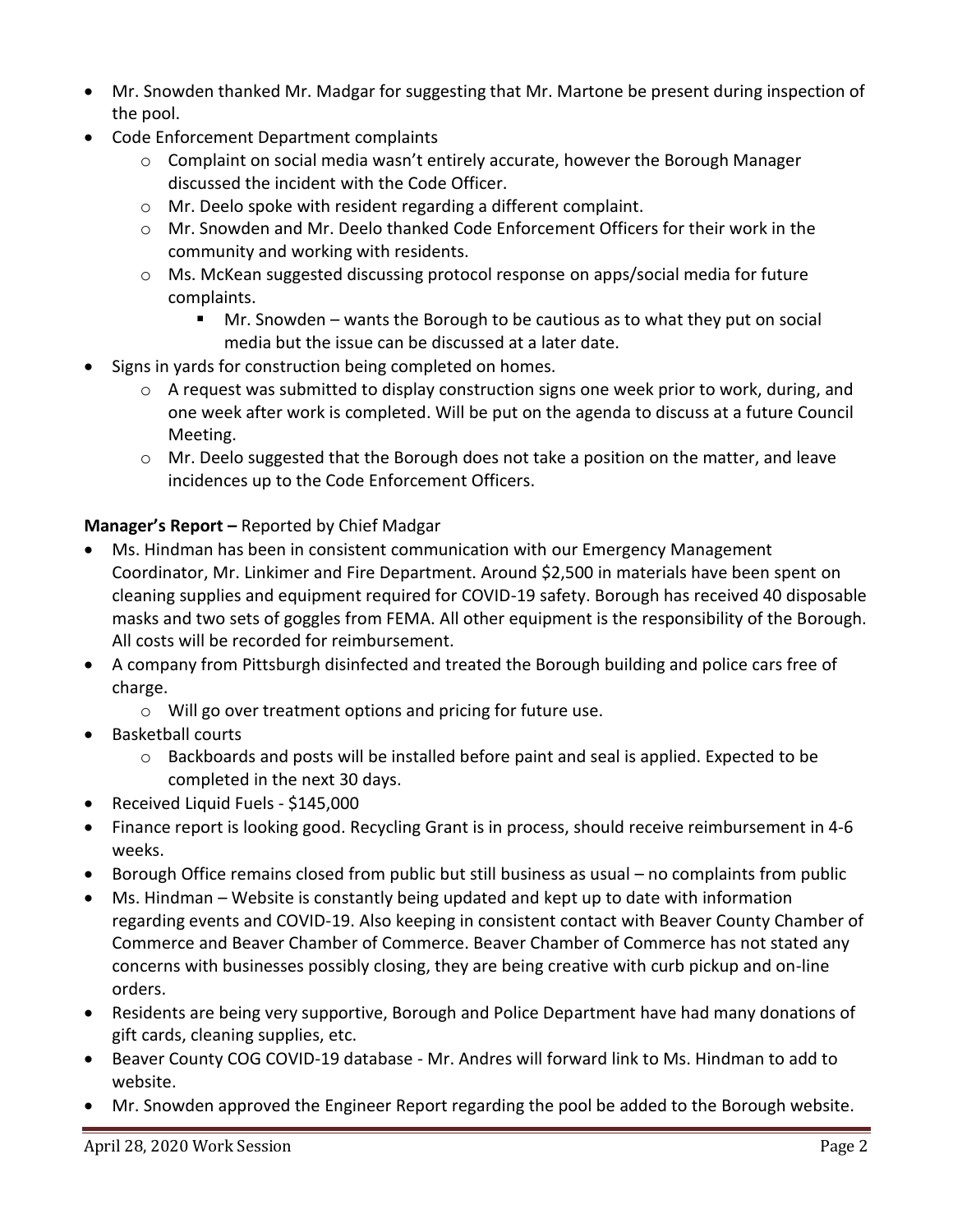- Mr. Snowden thanked Mr. Madgar for suggesting that Mr. Martone be present during inspection of the pool.
- Code Enforcement Department complaints
	- $\circ$  Complaint on social media wasn't entirely accurate, however the Borough Manager discussed the incident with the Code Officer.
	- o Mr. Deelo spoke with resident regarding a different complaint.
	- o Mr. Snowden and Mr. Deelo thanked Code Enforcement Officers for their work in the community and working with residents.
	- o Ms. McKean suggested discussing protocol response on apps/social media for future complaints.
		- Mr. Snowden wants the Borough to be cautious as to what they put on social media but the issue can be discussed at a later date.
- Signs in yards for construction being completed on homes.
	- $\circ$  A request was submitted to display construction signs one week prior to work, during, and one week after work is completed. Will be put on the agenda to discuss at a future Council Meeting.
	- $\circ$  Mr. Deelo suggested that the Borough does not take a position on the matter, and leave incidences up to the Code Enforcement Officers.

# **Manager's Report –** Reported by Chief Madgar

- Ms. Hindman has been in consistent communication with our Emergency Management Coordinator, Mr. Linkimer and Fire Department. Around \$2,500 in materials have been spent on cleaning supplies and equipment required for COVID-19 safety. Borough has received 40 disposable masks and two sets of goggles from FEMA. All other equipment is the responsibility of the Borough. All costs will be recorded for reimbursement.
- A company from Pittsburgh disinfected and treated the Borough building and police cars free of charge.
	- o Will go over treatment options and pricing for future use.
- Basketball courts
	- $\circ$  Backboards and posts will be installed before paint and seal is applied. Expected to be completed in the next 30 days.
- Received Liquid Fuels \$145,000
- Finance report is looking good. Recycling Grant is in process, should receive reimbursement in 4-6 weeks.
- Borough Office remains closed from public but still business as usual no complaints from public
- Ms. Hindman Website is constantly being updated and kept up to date with information regarding events and COVID-19. Also keeping in consistent contact with Beaver County Chamber of Commerce and Beaver Chamber of Commerce. Beaver Chamber of Commerce has not stated any concerns with businesses possibly closing, they are being creative with curb pickup and on-line orders.
- Residents are being very supportive, Borough and Police Department have had many donations of gift cards, cleaning supplies, etc.
- Beaver County COG COVID-19 database Mr. Andres will forward link to Ms. Hindman to add to website.
- Mr. Snowden approved the Engineer Report regarding the pool be added to the Borough website.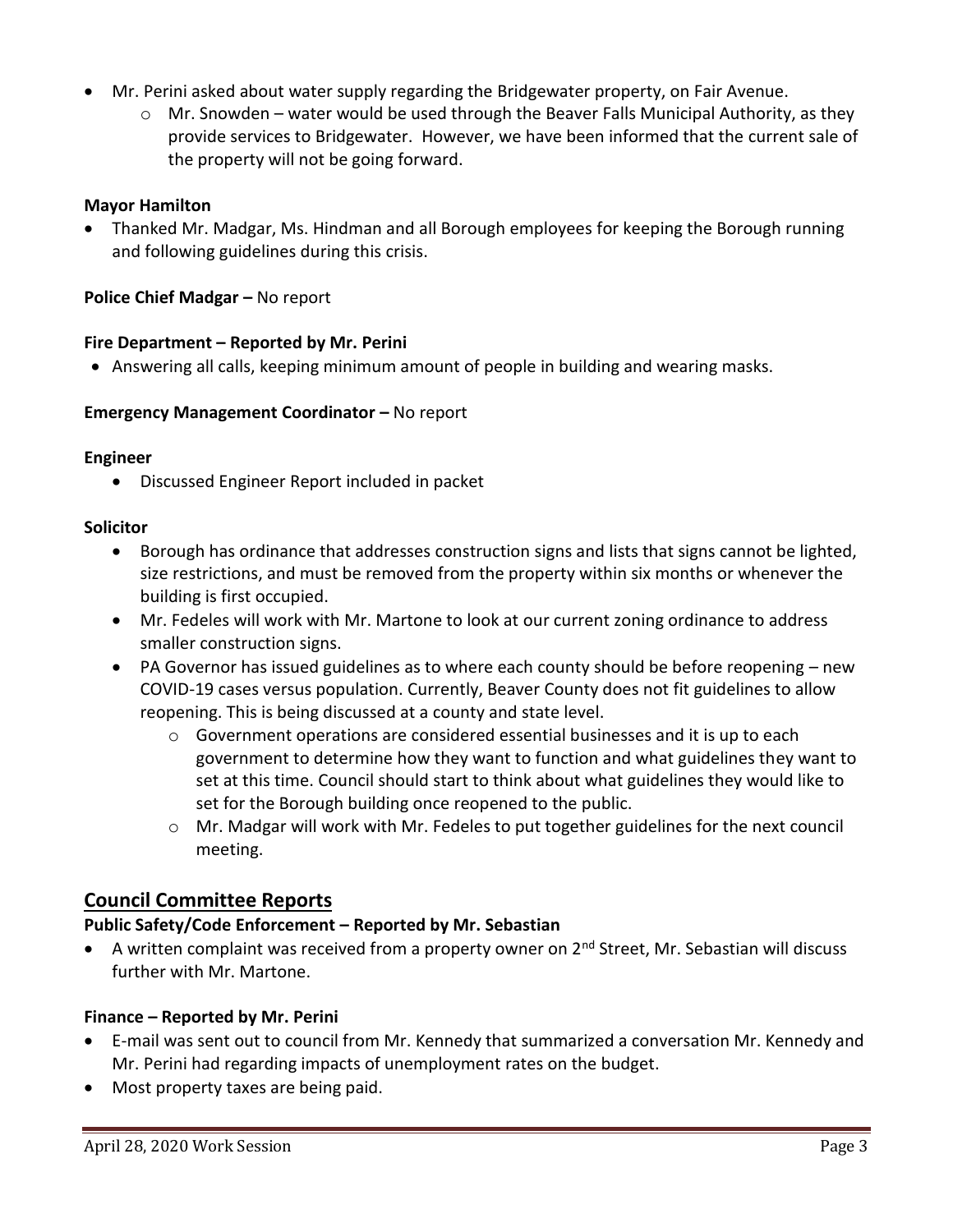- Mr. Perini asked about water supply regarding the Bridgewater property, on Fair Avenue.
	- $\circ$  Mr. Snowden water would be used through the Beaver Falls Municipal Authority, as they provide services to Bridgewater. However, we have been informed that the current sale of the property will not be going forward.

## **Mayor Hamilton**

 Thanked Mr. Madgar, Ms. Hindman and all Borough employees for keeping the Borough running and following guidelines during this crisis.

**Police Chief Madgar –** No report

## **Fire Department – Reported by Mr. Perini**

Answering all calls, keeping minimum amount of people in building and wearing masks.

## **Emergency Management Coordinator - No report**

### **Engineer**

Discussed Engineer Report included in packet

## **Solicitor**

- Borough has ordinance that addresses construction signs and lists that signs cannot be lighted, size restrictions, and must be removed from the property within six months or whenever the building is first occupied.
- Mr. Fedeles will work with Mr. Martone to look at our current zoning ordinance to address smaller construction signs.
- PA Governor has issued guidelines as to where each county should be before reopening new COVID-19 cases versus population. Currently, Beaver County does not fit guidelines to allow reopening. This is being discussed at a county and state level.
	- o Government operations are considered essential businesses and it is up to each government to determine how they want to function and what guidelines they want to set at this time. Council should start to think about what guidelines they would like to set for the Borough building once reopened to the public.
	- o Mr. Madgar will work with Mr. Fedeles to put together guidelines for the next council meeting.

## **Council Committee Reports**

## **Public Safety/Code Enforcement – Reported by Mr. Sebastian**

A written complaint was received from a property owner on  $2^{nd}$  Street, Mr. Sebastian will discuss further with Mr. Martone.

## **Finance – Reported by Mr. Perini**

- E-mail was sent out to council from Mr. Kennedy that summarized a conversation Mr. Kennedy and Mr. Perini had regarding impacts of unemployment rates on the budget.
- Most property taxes are being paid.